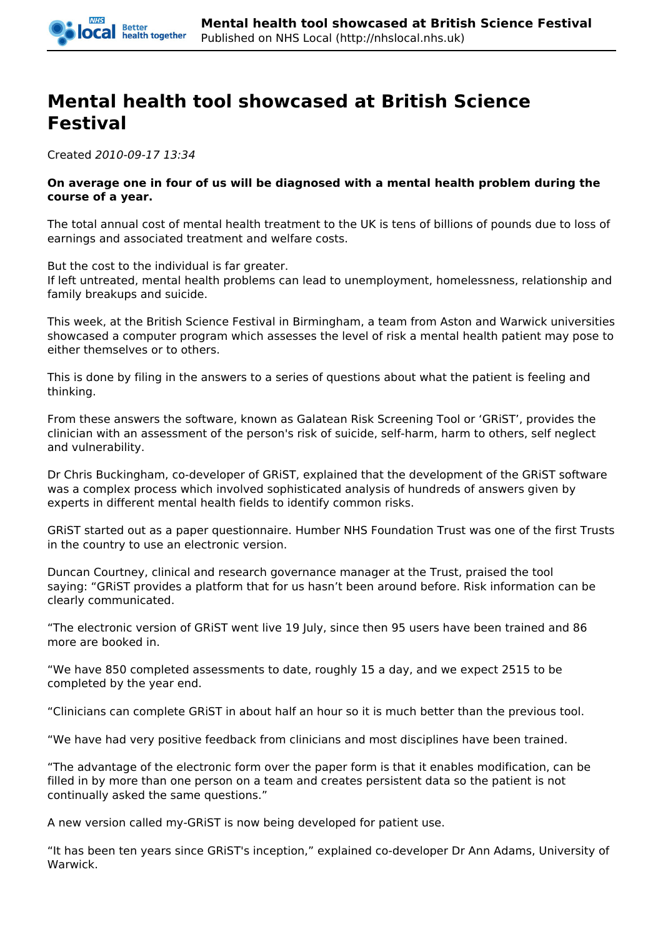

## *Mental health tool showcased at British Science Festival*

*Created 2010-09-17 13:34*

## *On average one in four of us will be diagnosed with a mental health problem during the course of a year.*

*The total annual cost of mental health treatment to the UK is tens of billions of pounds due to loss of earnings and associated treatment and welfare costs.*

*But the cost to the individual is far greater.*

*If left untreated, mental health problems can lead to unemployment, homelessness, relationship and family breakups and suicide.*

*This week, at the British Science Festival in Birmingham, a team from Aston and Warwick universities showcased a computer program which assesses the level of risk a mental health patient may pose to either themselves or to others.*

*This is done by filing in the answers to a series of questions about what the patient is feeling and thinking.*

*From these answers the software, known as Galatean Risk Screening Tool or 'GRiST', provides the clinician with an assessment of the person's risk of suicide, self-harm, harm to others, self neglect and vulnerability.*

*Dr Chris Buckingham, co-developer of GRiST, explained that the development of the GRiST software was a complex process which involved sophisticated analysis of hundreds of answers given by experts in different mental health fields to identify common risks.*

*GRiST started out as a paper questionnaire. Humber NHS Foundation Trust was one of the first Trusts in the country to use an electronic version.*

*Duncan Courtney, clinical and research governance manager at the Trust, praised the tool saying: "GRiST provides a platform that for us hasn't been around before. Risk information can be clearly communicated.*

*"The electronic version of GRiST went live 19 July, since then 95 users have been trained and 86 more are booked in.*

*"We have 850 completed assessments to date, roughly 15 a day, and we expect 2515 to be completed by the year end.*

*"Clinicians can complete GRiST in about half an hour so it is much better than the previous tool.* 

*"We have had very positive feedback from clinicians and most disciplines have been trained.*

*"The advantage of the electronic form over the paper form is that it enables modification, can be filled in by more than one person on a team and creates persistent data so the patient is not continually asked the same questions."*

*A new version called my-GRiST is now being developed for patient use.* 

*"It has been ten years since GRiST's inception," explained co-developer Dr Ann Adams, University of Warwick.*